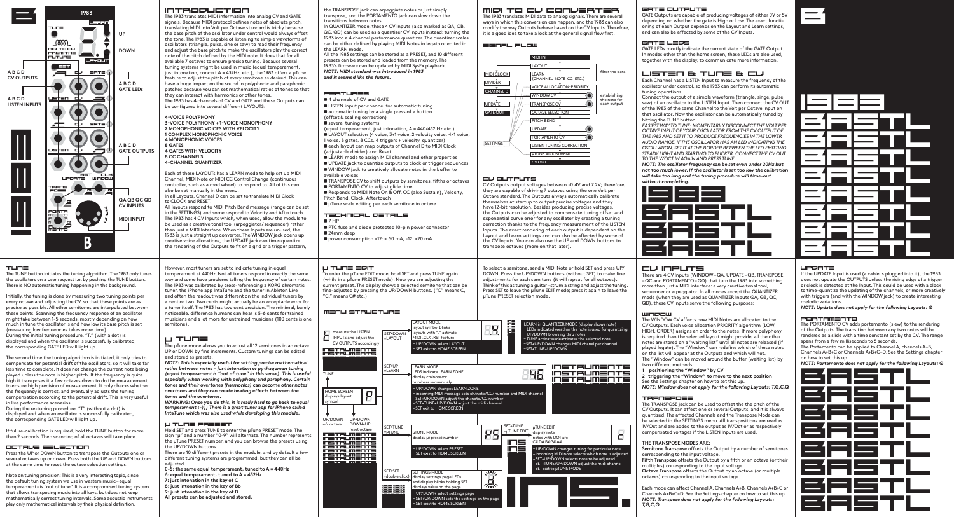**<sup>1983</sup>** midi to cv converter

The 1983 translates MIDI data to analog signals. There are several ways in which this conversion can happen, and the 1983 can also modify the way Outputs behave based on the CV Inputs. Therefore, it is a good idea to take a look at the general signal flow first.

# listen & tune & cv

Each Channel has a LISTEN Input to measure the frequency of the oscillator under control, so the 1983 can perform its automatic tuning operations.

Connect the output of a simple waveform (triangle, singe, pulse, saw) of an oscillator to the LISTEN Input. Then connect the CV OUT of the 1983 of the same Channel to the Volt per Octave input on that oscillator. Now the oscillator can be automatically tuned by hitting the TUNE button.

*EASIEST WAY TO TUNE: MOMENTARILY DISCONNECT THE VOLT PER OCTAVE INPUT OF YOUR OSCILLATOR FROM THE CV OUTPUT OF THE 1983 AND SET IT TO PRODUCE FREQUENCIES IN THE LOWER AUDIO RANGE. IF THE OSCILLATOR HAS AN LED INDICATING THE OSCILLATION, SET IT AT THE BORDER BETWEEN THE LED EMITTING STEADY LIGHT AND STARTING TO FLICKER. CONNECT THE CV OUT TO THE V/OCT IN AGAIN AND PRESS TUNE.*

*NOTE: The oscillator frequency can be set even under 20Hz but not too much lower. If the oscillator is set too low the calibration* 

*will take too long and the tuning procedure will time-out* cv outputs *without completing.* CV Outputs output voltages between -0.4V and 7.2V; therefore, they are capable of driving 7 octaves using the one Volt per Octave standard. The Outputs always automatically calibrate themselves at startup to output precise voltages and they have 12-bit resolution. Besides producing precise voltages, the Outputs can be adjusted to compensate tuning offset and exponential curve error for any oscillator by creating a tuning correction thanks to the frequency measurement of the LISTEN Inputs. The exact rendering of each output is dependant on the Layout and Learn settings and can also be affected by some of the CV Inputs. You can also use the UP and DOWN buttons to transpose octaves (more on that later).

### gate outputs

GATE Outputs are capable of producing voltages of either 0V or 5V depending on whether the gate is High or Low. The exact functioning of each Output depends on the Layout and Learn settings, and can also be affected by some of the CV Inputs.

#### gate leds

GATE LEDs mostly indicate the current state of the GATE Output. In modes other than the home screen, these LEDs are also used, together with the display, to communicate more information.

The TUNE button initiates the tuning algorithm. The 1983 only tunes the oscillators on a user request i.e. by pushing the TUNE button. There is NO automatic tuning happening in the background.

> There are 10 different presets in the module, and by default a few different tuning systems are programmed, but they can all be adjusted.

Initially, the tuning is done by measuring two tuning points per every octave and adjusting the CV, so that these points are as precise as possible. All other semitones are interpolated between these points. Scanning the frequency response of an oscillator might take between 1-5 seconds, mostly depending on how much in tune the oscillator is and how low its base pitch is set (measuring low frequencies takes more time). During the initial tuning procedure, "T." (with a dot) is displayed and when the oscillator is successfully calibrated,

the corresponding GATE LED will light up. The second time the tuning algorithm is initiated, it only tries to compensate for potential drift of the oscillators, so it will take far less time to complete. It does not change the current note being played unless the note is higher pitch. If the frequency is quite

high it transposes it a few octaves down to do the measurement to ensure high precision of measurement. It only checks whether the frequency is correct, and eventually adjusts the tuning compensation according to the potential drift. This is very useful in live performance scenarios.

During the re-tuning procedure, "T" (without a dot) is displayed and when an oscillator is successfully calibrated, the corresponding GATE LED will light up.

If full re-calibration is required, hold the TUNE button for more than 2 seconds. Then scanning of all octaves will take place.

# octave selection



#### $T \cup T =$

Press the UP or DOWN button to transpose the Outputs one or several octaves up or down. Press both the UP and DOWN buttons at the same time to reset the octave selection settings.

Note on tuning precision: This is a very interesting topic, since the default tuning system we use in western music – equal temperament – is "out of tune". It is a compromised tuning system that allows transposing music into all keys, but does not keep mathematically correct tuning intervals. Some acoustic instruments play only mathematical intervals by their physical definition.

# signal flow





# menu structure

# cv inputs

There are 4 CV Inputs (WINDOW – QA, UPDATE – QB, TRANSPOSE – QC and PORTAMENTO – QD) that turn the 1983 into something more than just a MIDI interface: a very creative tonal tool, sequencer or arpeggiator. In all modes except the QUANTIZER mode (when they are used as QUANTIZER Inputs QA, QB, QC, QD), these CV Inputs serve the following purposes:

#### window

The WINDOW CV affects how MIDI Notes are allocated to the CV Outputs. Each voice allocation PRIORITY algorithm (LOW, HIGH, ORDER) assigns an order to the notes. If more polyphony is required than the selected layout might provide, all the other notes are stored on a "waiting list" until all notes are released (if played legato). The "Window" can redefine which of these notes on the list will appear at the Outputs and which will not. The "Window" can be moved around the buffer (waiting list) by

two different methods:

**1 positioning the "Window" by CV** 

**2 triggering the "Window" to move to the next position** See the Settings chapter on how to set this up.

*NOTE: Window does not apply for the following Layouts: T,G,C,Q*

#### transpose

The TRANSPOSE jack can be used to offset the the pitch of the CV Outputs. It can affect one or several Outputs, and it is always quantized. The affected Channels and the Transpose Mode can be selected in the SETTINGS menu. All transpositions are read as 1V/Oct and are added to the output as 1V/Oct or as respectively compensated voltages if the LISTEN Inputs are used.

#### **THE TRANSPOSE MODES ARE:**

**Semitone Transpose** offsets the Output by a number of semitones corresponding to the input voltage.

**Fifth Transpose** offsets the Output by a fifth or an octave (or their multiples) corresponding to the input voltage.

**Octave Transpose** offsets the Output by an octave (or multiple octaves) corresponding to the input voltage.

Each mode can affect Channel A, Channels A+B, Channels A+B+C or Channels A+B+C+D. See the Settings chapter on how to set this up. *NOTE: Transpose does not apply for the following Layouts: T,G,C,Q*



#### update

If the UPDATE Input is used (a cable is plugged into it), the 1983 does not update the OUTPUTS unless the rising edge of a trigger or clock is detected at the Input. This could be used with a clock to time-quantize the updating of the channels, or more creatively with triggers (and with the WINDOW jack) to create interesting melodic variations.

*NOTE: Update does not apply for the following Layouts: Q*

#### portamento

The PORTAMENTO CV adds portamento (slew) to the rendering of the Outputs. The transition between any two notes will be rendered as a slide with a time constant set by the CV. The range spans from a few milliseconds to 5 seconds.

The Portamento can be applied to Channel A, channels A+B, Channels A+B+C or Channels A+B+C+D. See the Settings chapter on how to set this up.





However, most tuners are set to indicate tuning in equal temperament at 440Hz. Not all tuners respond in exactly the same way and some have problems telling the frequency of certain notes. The 1983 was calibrated by cross-referencing a KORG chromatic tuner, the iPhone app IntaTune and the tuner in Ableton Live and often the readout was different on the individual tuners by a cent or two. Two cents might actually be an acceptable error for a tuner itself. The 1983 has two cent precision. The minimal, barely noticeable, difference humans can hear is 5-6 cents for trained musicians and a lot more for untrained musicians (100 cents is one semitone).

# $\mathsf{\mu}$  tune

The µTune mode allows you to adjust all 12 semitones in an octave UP or DOWN by fine increments. Custom tunings can be edited and stored as presets.

*NOTE: This is especially useful for setting precise mathematical ratios between notes – just intonation or pythagorean tuning (equal temperament is "out of tune" in this sense). This is useful especially when working with polyphony and paraphony. Certain tones and their overtones (harmonics) can become other notes' overtones and they can create beating effects between the tones and the overtones.*

*WARNING: Once you do this, it is really hard to go back to equal temperament :-))) There is a great tuner app for iPhone called IntaTune which was also used while developing this module.*

#### tune preset

Hold SET and press TUNE to enter the µTune PRESET mode. The sign "µ" and a number "0-9" will alternate. The number represents the µTune PRESET number, and you can browse the presets using the UP/DOWN buttons.

**0-5: the same equal temperament, tuned to A = 440Hz 6: equal temperament, tuned to A = 432Hz**

- **7: just intonation in the key of C**
- **8: just intonation in the key of Bb**
- **9: just intonation in the key of D**
- **All presets can be adjusted and stored.**



# tune edit

To enter the µTune EDIT mode, hold SET and press TUNE again (while in a µTune PRESET mode). Now you are adjusting the current preset. The display shows a selected semitone that can be fine-adjusted by pressing the UP/DOWN buttons. ("C" means C, "C." means C# etc.)

To select a semitone, send a MIDI Note or hold SET and press UP/ DOWN. Press the UP/DOWN buttons (without SET) to make fine adjustments for each semitone (it will repeat for all octaves). Think of this as tuning a guitar – strum a string and adjust the tuning. Press SET to leave the µTune EDIT mode; press it again to leave the µTune PRESET selection mode.